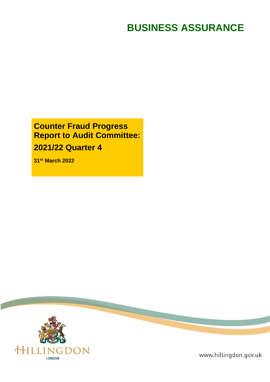# **BUSINESS ASSURANCE**

# **Counter Fraud Progress Report to Audit Committee: 2021/22 Quarter 4**

**31 st March 2022**



www.hillingdon.gov.uk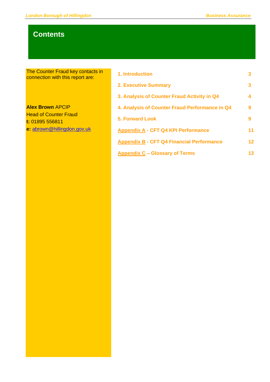## **Contents**

The Counter Fraud key contacts in connection with this report are:

**Alex Brown** APCIP **Head of Counter Fraud t:** 01895 556811 **e:** [abrown@hillingdon.gov.uk](mailto:abrown@hillingdon.gov.uk)

| 1. Introduction                                  | 3  |
|--------------------------------------------------|----|
| <b>2. Executive Summary</b>                      | 3  |
| 3. Analysis of Counter Fraud Activity in Q4      | 4  |
| 4. Analysis of Counter Fraud Performance in Q4   | 9  |
| <b>5. Forward Look</b>                           | 9  |
| <b>Appendix A - CFT Q4 KPI Performance</b>       | 11 |
| <b>Appendix B - CFT Q4 Financial Performance</b> | 12 |
| <b>Appendix C - Glossary of Terms</b>            | 13 |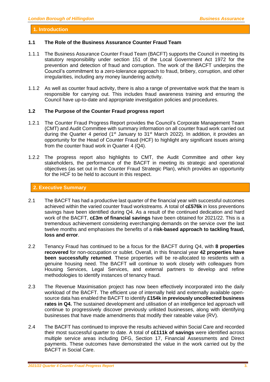### **1. Introduction**

### **1.1 The Role of the Business Assurance Counter Fraud Team**

- 1.1.1 The Business Assurance Counter Fraud Team (BACFT) supports the Council in meeting its statutory responsibility under section 151 of the Local Government Act 1972 for the prevention and detection of fraud and corruption. The work of the BACFT underpins the Council's commitment to a zero-tolerance approach to fraud, bribery, corruption, and other irregularities, including any money laundering activity.
- 1.1.2 As well as counter fraud activity, there is also a range of preventative work that the team is responsible for carrying out. This includes fraud awareness training and ensuring the Council have up-to-date and appropriate investigation policies and procedures.

### **1.2 The Purpose of the Counter Fraud progress report**

- 1.2.1 The Counter Fraud Progress Report provides the Council's Corporate Management Team (CMT) and Audit Committee with summary information on all counter fraud work carried out during the Quarter 4 period (1<sup>st</sup> January to 31<sup>st</sup> March 2022). In addition, it provides an opportunity for the Head of Counter Fraud (HCF) to highlight any significant issues arising from the counter fraud work in Quarter 4 (Q4).
- 1.2.2 The progress report also highlights to CMT, the Audit Committee and other key stakeholders, the performance of the BACFT in meeting its strategic and operational objectives (as set out in the Counter Fraud Strategic Plan), which provides an opportunity for the HCF to be held to account in this respect.

### **2. Executive Summary**

- 2.1 The BACFT has had a productive last quarter of the financial year with successful outcomes achieved within the varied counter fraud workstreams. A total of **c£576k** in loss preventions savings have been identified during Q4. As a result of the continued dedication and hard work of the BACFT, **c£3m of financial savings** have been obtained for 2021/22. This is a tremendous achievement considering everchanging demands on the service over the last twelve months and emphasises the benefits of a **risk-based approach to tackling fraud, loss and error**.
- 2.2 Tenancy Fraud has continued to be a focus for the BACFT during Q4, with **8 properties recovered** for non-occupation or sublet. Overall, in this financial year **42 properties have been successfully returned**. These properties will be re-allocated to residents with a genuine housing need. The BACFT will continue to work closely with colleagues from Housing Services, Legal Services, and external partners to develop and refine methodologies to identify instances of tenancy fraud.
- 2.3 The Revenue Maximisation project has now been effectively incorporated into the daily workload of the BACFT. The efficient use of internally held and externally available opensource data has enabled the BACFT to identify **£154k in previously uncollected business rates in Q4.** The sustained development and utilisation of an intelligence led approach will continue to progressively discover previously unlisted businesses, along with identifying businesses that have made amendments that modify their rateable value (RV).
- 2.4 The BACFT has continued to improve the results achieved within Social Care and recorded their most successful quarter to date. A total of **c£111k of savings** were identified across multiple service areas including DFG, Section 17, Financial Assessments and Direct payments. These outcomes have demonstrated the value in the work carried out by the BACFT in Social Care.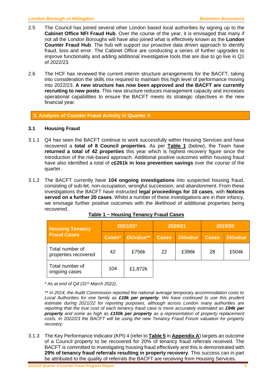- 2.5 The Council has joined several other London based local authorities by signing up to the **Cabinet Office NFI Fraud Hub**. Over the course of the year, it is envisaged that many if not all the London Boroughs will have also joined what is effectively known as the **London Counter Fraud Hub**. The hub will support our proactive data driven approach to identify fraud, loss and error. The Cabinet Office are conducting a series of further upgrades to improve functionality and adding additional investigative tools that are due to go live in Q1 of 2022/23.
- 2.6 The HCF has reviewed the current interim structure arrangements for the BACFT, taking into consideration the skills mix required to maintain this high level of performance moving into 2022/23. **A new structure has now been approved and the BACFT are currently recruiting to new posts**. This new structure reduces management capacity and increases operational capabilities to ensure the BACFT meets its strategic objectives in the new financial year.

**3. Analysis of Counter Fraud Activity in Quarter 4**

### **3.1 Housing Fraud**

- 3.1.1 Q4 has seen the BACFT continue to work successfully within Housing Services and have recovered a **total of 8 Council properties**. As per **Table 1** (below), the Team have **returned a total of 42 properties** this year which is highest recovery figure since the introduction of the risk-based approach. Additional positive outcomes within housing fraud have also identified a total of **c£261k in loss prevention savings** over the course of the quarter.
- 3.1.2 The BACFT currently have **104 ongoing investigations** into suspected housing fraud, consisting of sub-let, non-occupation, wrongful succession, and abandonment. From these investigations the BACFT have instructed **legal proceedings for 10 cases**, with **Notices served on a further 20 cases**. Whilst a number of these investigations are in their infancy, we envisage further positive outcomes with the likelihood of additional properties being recovered.

| <b>Housing Tenancy</b>                  | 2021/22* |                   |              | 2020/21         | 2019/20      |          |
|-----------------------------------------|----------|-------------------|--------------|-----------------|--------------|----------|
| <b>Fraud Cases</b>                      | Cases*   | <b>Ek/value**</b> | <b>Cases</b> | <b>£k/value</b> | <b>Cases</b> | £k/value |
| Total number of<br>properties recovered | 42       | £756k             | 22           | £396k           | 28           | £504k    |
| Total number of<br>ongoing cases        | 104      | £1,872k           |              |                 |              |          |

*\* As at end of Q4 (31 st March 2022).*

*\*\* In 2014, the Audit Commission reported the national average temporary accommodation costs to Local Authorities for one family as £18k per property. We have continued to use this prudent estimate during 2021/22 for reporting purposes, although across London many authorities are reporting that the true cost of each tenancy fraud case is more accurately estimated as £94k per property and some as high as £150k per property as a representation of property replacement costs. In 2022/23 the BACFT will be using the new Tenancy Fraud Forum valuation for property recovery.*

3.1.3 The Key Performance Indicator (KPI) 4 (refer to **Table 5** in **Appendix A**) targets an outcome of a Council property to be recovered for 20% of tenancy fraud referrals received. The BACFT is committed to investigating housing fraud effectively and this is demonstrated with **29% of tenancy fraud referrals resulting in property recovery**. This success can in part be attributed to the quality of referrals the BACFT are receiving from Housing Services.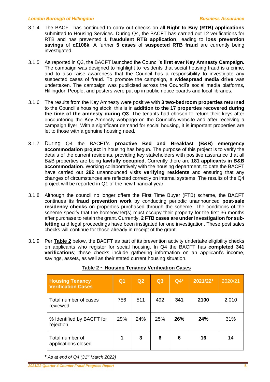- 3.1.4 The BACFT has continued to carry out checks on all **Right to Buy (RTB) applications** submitted to Housing Services. During Q4, the BACFT has carried out 12 verifications for RTB and has prevented **1 fraudulent RTB application**, leading to **loss prevention savings** of **c£108k**. A further **5 cases** of **suspected RTB fraud** are currently being investigated.
- 3.1.5 As reported in Q3, the BACFT launched the Council's **first ever Key Amnesty Campaign.**  The campaign was designed to highlight to residents that social housing fraud is a crime, and to also raise awareness that the Council has a responsibility to investigate any suspected cases of fraud. To promote the campaign, a **widespread media drive** was undertaken. The campaign was publicised across the Council's social media platforms, Hillingdon People, and posters were put up in public notice boards and local libraries.
- 3.1.6 The results from the Key Amnesty were positive with **3 two-bedroom properties returned** to the Council's housing stock, this is in **addition to the 17 properties recovered during the time of the amnesty during Q3**. The tenants had chosen to return their keys after encountering the Key Amnesty webpage on the Council's website and after receiving a campaign flyer. With a significant demand for social housing, it is important properties are let to those with a genuine housing need.
- 3.1.7 During Q4 the BACFT's **proactive Bed and Breakfast (B&B) emergency accommodation project** in housing has begun. The purpose of this project is to verify the details of the current residents, providing key stakeholders with positive assurance that all B&B properties are being **lawfully occupied.** Currently there are **181 applicants in B&B accommodation**. Working collaboratively with the housing department, to date the BACFT have carried out **282** unannounced visits **verifying residents** and ensuring that any changes of circumstances are reflected correctly on internal systems. The results of the Q4 project will be reported in Q1 of the new financial year.
- 3.1.8 Although the council no longer offers the First Time Buyer (FTB) scheme, the BACFT continues its **fraud prevention work** by conducting periodic unannounced **post-sale residency checks** on properties purchased through the scheme. The conditions of the scheme specify that the homeowner(s) must occupy their property for the first 36 months after purchase to retain the grant. Currently, **2 FTB cases are under investigation for subletting** and legal proceedings have been instigated for one investigation. These post sales checks will continue for those already in receipt of the grant.
- 3.1.9 Per **Table 2** below, the BACFT as part of its prevention activity undertake eligibility checks on applicants who register for social housing. In Q4 the BACFT has **completed 341 verifications**; these checks include gathering information on an applicant's income, savings, assets, as well as their stated current housing situation.

| <b>Housing Tenancy</b><br><b>Verification Cases</b> | Q <sub>1</sub> | Q2  | Q3  | $Q4*$ | 2021/22* | 2020/21 |
|-----------------------------------------------------|----------------|-----|-----|-------|----------|---------|
| Total number of cases<br>reviewed                   | 756            | 511 | 492 | 341   | 2100     | 2,010   |
| % Identified by BACFT for<br>rejection              | 29%            | 24% | 25% | 26%   | 24%      | 31%     |
| Total number of<br>applications closed              | 1              | 3   | 6   | 6     | 16       | 14      |

### **Table 2 ~ Housing Tenancy Verification Cases**

**\*** *As at end of Q4 (31 st March 2022)*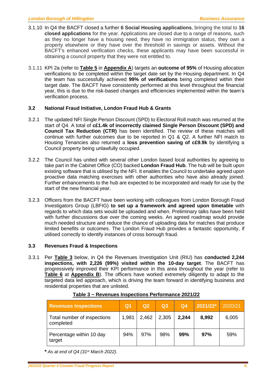- 3.1.10 In Q4 the BACFT closed a further **6 Social Housing applications**, bringing the total to **16 closed applications** for the year. Applications are closed due to a range of reasons, such as they no longer have a housing need, they have no immigration status, they own a property elsewhere or they have over the threshold in savings or assets. Without the BACFT's enhanced verification checks, these applicants may have been successful in obtaining a council property that they were not entitled to.
- 3.1.11 KPI 2a (refer to **Table 5** in **Appendix A**) targets an **outcome of 95%** of Housing allocation verifications to be completed within the target date set by the Housing department. In Q4 the team has successfully achieved **99% of verifications** being completed within their target date. The BACFT have consistently performed at this level throughout the financial year, this is due to the risk-based changes and efficiencies implemented within the team's verification process.

### **3.2 National Fraud Initiative, London Fraud Hub & Grants**

- 3.2.1 The updated NFI Single Person Discount (SPD) to Electoral Roll match was returned at the start of Q4. A total of **c£1.4k of incorrectly claimed Single Person Discount (SPD) and Council Tax Reduction (CTR)** has been identified. The review of these matches will continue with further outcomes due to be reported in Q1 & Q2. A further NFI match to Housing Tenancies also returned a **loss prevention saving of c£9.9k** by identifying a Council property being unlawfully occupied.
- 3.2.2 The Council has united with several other London based local authorities by agreeing to take part in the Cabinet Office (CO) backed **London Fraud Hub**. The hub will be built upon existing software that is utilised by the NFI. It enables the Council to undertake agreed upon proactive data matching exercises with other authorities who have also already joined. Further enhancements to the hub are expected to be incorporated and ready for use by the start of the new financial year.
- 3.2.3 Officers from the BACFT have been working with colleagues from London Borough Fraud Investigators Group (LBFIG) **to set up a framework and agreed upon timetable** with regards to which data sets would be uploaded and when. Preliminary talks have been held with further discussions due over the coming weeks. An agreed roadmap would provide much needed structure and reduce the chance of uploading data for matches that produce limited benefits or outcomes. The London Fraud Hub provides a fantastic opportunity, if utilised correctly to identify instances of cross borough fraud.

### **3.3 Revenues Fraud & Inspections**

3.3.1 Per **Table 3** below, in Q4 the Revenues Investigation Unit (RIU) has **conducted 2,244 inspections, with 2,226 (99%) visited within the 10-day target**. The BACFT has progressively improved their KPI performance in this area throughout the year (refer to **Table 6** at **Appendix B**). The officers have worked extremely diligently to adapt to the targeted data led approach, which is driving the team forward in identifying business and residential properties that are unlisted.

| <b>Revenues Inspections</b>              | Q <sub>1</sub> | Q2    | Q <sub>3</sub> | Q <sub>4</sub> | 2021/22* | 2020/21 |
|------------------------------------------|----------------|-------|----------------|----------------|----------|---------|
| Total number of inspections<br>completed | 1,981          | 2,462 | 2,305          | 2,244          | 8,992    | 6,005   |
| Percentage within 10 day<br>target       | 94%            | 97%   | 98%            | 99%            | 97%      | 59%     |

### **Table 3 ~ Revenues Inspections Performance 2021/22**

**\*** *As at end of Q4 (31st March 2022).*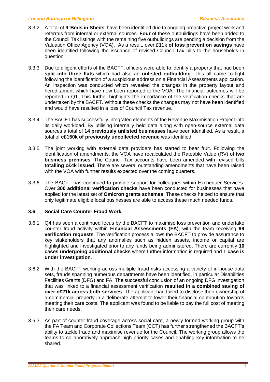- 3.3.2 A total of **9** '**Beds in Sheds**' have been identified due to ongoing proactive project work and referrals from internal or external sources. **Four** of these outbuildings have been added to the Council Tax listings with the remaining five outbuildings are pending a decision from the Valuation Office Agency (VOA). As a result, over **£11k of loss prevention savings** have been identified following the issuance of revised Council Tax bills to the households in question.
- 3.3.3 Due to diligent efforts of the BACFT, officers were able to identify a property that had been **split into three flats** which had also an **unlisted outbuilding**. This all came to light following the identification of a suspicious address on a Financial Assessments application. An inspection was conducted which revealed the changes in the property layout and hereditament which have now been reported to the VOA. The financial outcomes will be reported in Q1. This further highlights the importance of the verification checks that are undertaken by the BACFT. Without these checks the changes may not have been identified and would have resulted in a loss of Council Tax revenue.
- 3.3.4 The BACFT has successfully integrated elements of the Revenue Maximisation Project into its daily workload. By utilising internally held data along with open-source external data sources a total of **14 previously unlisted businesses** have been identified. As a result, a total of **c£150k of previously uncollected revenue** was identified.
- 3.3.5 The joint working with external data providers has started to bear fruit. Following the identification of amendments, the VOA have recalculated the Rateable Value (RV) of **two business premises**. The Council Tax accounts have been amended with revised bills **totalling c£4k issued**. There are several outstanding amendments that have been raised with the VOA with further results expected over the coming quarters.
- 3.3.6 The BACFT has continued to provide support for colleagues within Exchequer Services. Over **300 additional verification checks** have been conducted for businesses that have applied for the latest set of **Omicron grants schemes**. These checks helped to ensure that only legitimate eligible local businesses are able to access these much needed funds.

### **3.6 Social Care Counter Fraud Work**

- 3.6.1 Q4 has seen a continued focus by the BACFT to maximise loss prevention and undertake counter fraud activity within **Financial Assessments (FA)**, with the team receiving **99 verification requests**. The verification process allows the BACFT to provide assurance to key stakeholders that any anomalies such as hidden assets, income or capital are highlighted and investigated prior to any funds being administered. There are currently **10 cases undergoing additional checks** where further information is required and **1 case is under investigation**.
- 3.6.2 With the BACFT working across multiple fraud risks accessing a variety of in-house data sets, frauds spanning numerous departments have been identified, in particular Disabilities Facilities Grants (DFG) and FA. The successful conclusion of an ongoing DFG investigation that was linked to a financial assessment verification **resulted in a combined saving of over c£21k across both services**. The applicant had failed to disclose their ownership of a commercial property in a deliberate attempt to lower their financial contribution towards meeting their care costs. The applicant was found to be liable to pay the full cost of meeting their care needs.
- 3.6.3 As part of counter fraud coverage across social care, a newly formed working group with the FA Team and Corporate Collections Team (CCT) has further strengthened the BACFT's ability to tackle fraud and maximise revenue for the Council. The working group allows the teams to collaboratively approach high priority cases and enabling key information to be shared.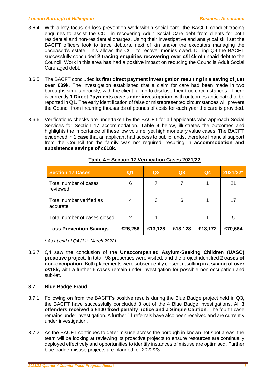- 3.6.4 With a key focus on loss prevention work within social care, the BACFT conduct tracing enquiries to assist the CCT in recovering Adult Social Care debt from clients for both residential and non-residential charges. Using their investigative and analytical skill set the BACFT officers look to trace debtors, next of kin and/or the executors managing the deceased's estate. This allows the CCT to recover monies owed. During Q4 the BACFT successfully concluded **2 tracing enquiries recovering over c£14k** of unpaid debt to the Council. Work in this area has had a positive impact on reducing the Councils Adult Social Care aged debt.
- 3.6.5 The BACFT concluded its **first direct payment investigation resulting in a saving of just over £39k**. The investigation established that a claim for care had been made in two boroughs simultaneously, with the client failing to disclose their true circumstances. There is currently **1 Direct Payments case under investigation**, with outcomes anticipated to be reported in Q1. The early identification of false or misrepresented circumstances will prevent the Council from incurring thousands of pounds of costs for each year the care is provided.
- 3.6.6 Verifications checks are undertaken by the BACFT for all applicants who approach Social Services for Section 17 accommodation. **Table 4** below, illustrates the outcomes and highlights the importance of these low volume, yet high monetary value cases. The BACFT evidenced in **1 case** that an applicant had access to public funds, therefore financial support from the Council for the family was not required, resulting in **accommodation and subsistence savings of c£18k**.

| <b>Section 17 Cases</b>              | Q <sub>1</sub> | Q2      | Q3      | Q <sub>4</sub> | 2021/22* |
|--------------------------------------|----------------|---------|---------|----------------|----------|
| Total number of cases<br>reviewed    | 6              |         | 7       |                | 21       |
| Total number verified as<br>accurate | 4              | 6       | 6       |                | 17       |
| Total number of cases closed         | 2              |         |         |                | 5        |
| <b>Loss Prevention Savings</b>       | £26,256        | £13,128 | £13,128 | £18,172        | £70,684  |

### **Table 4 ~ Section 17 Verification Cases 2021/22**

*\* As at end of Q4 (31 st March 2022).*

3.6.7 Q4 saw the conclusion of the **Unaccompanied Asylum-Seeking Children (UASC) proactive project**. In total, 98 properties were visited, and the project identified **2 cases of non-occupation.** Both placements were subsequently closed, resulting in a **saving of over c£18k,** with a further 6 cases remain under investigation for possible non-occupation and sub-let.

### **3.7 Blue Badge Fraud**

- 3.7.1 Following on from the BACFT's positive results during the Blue Badge project held in Q3, the BACFT have successfully concluded 3 out of the 4 Blue Badge investigations. All **3 offenders received a £100 fixed penalty notice and a Simple Caution**. The fourth case remains under investigation. A further 11 referrals have also been received and are currently under investigation.
- 3.7.2 As the BACFT continues to deter misuse across the borough in known hot spot areas, the team will be looking at reviewing its proactive projects to ensure resources are continually deployed effectively and opportunities to identify instances of misuse are optimised. Further blue badge misuse projects are planned for 2022/23.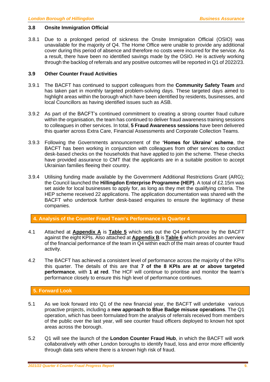### **3.8 Onsite Immigration Official**

3.8.1 Due to a prolonged period of sickness the Onsite Immigration Official (OSIO) was unavailable for the majority of Q4. The Home Office were unable to provide any additional cover during this period of absence and therefore no costs were incurred for the service. As a result, there have been no identified savings made by the OSIO. He is actively working through the backlog of referrals and any positive outcomes will be reported in Q1 of 2022/23.

### **3.9 Other Counter Fraud Activities**

- 3.9.1 The BACFT has continued to support colleagues from the **Community Safety Team** and has taken part in monthly targeted problem-solving days. These targeted days aimed to highlight areas within the borough which have been identified by residents, businesses, and local Councillors as having identified issues such as ASB.
- 3.9.2 As part of the BACFT's continued commitment to creating a strong counter fraud culture within the organisation, the team has continued to deliver fraud awareness training sessions to colleagues in other services. In total, **5 Fraud Awareness sessions** have been delivered this quarter across Extra Care, Financial Assessments and Corporate Collection Teams.
- 3.9.3 Following the Governments announcement of the **'Homes for Ukraine' scheme**, the BACFT has been working in conjunction with colleagues from other services to conduct desk-based checks on the households that have applied to join the scheme. These checks have provided assurance to CMT that the applicants are in a suitable position to accept Ukrainian families fleeing their country.
- 3.9.4 Utilising funding made available by the Government Additional Restrictions Grant (ARG); the Council launched the **Hillingdon Enterprise Programme (HEP)**. A total of £2.15m was set aside for local businesses to apply for, as long as they met the qualifying criteria. The HEP scheme received 22 applications. The application documentation was shared with the BACFT who undertook further desk-based enquiries to ensure the legitimacy of these companies.

### **4. Analysis of the Counter Fraud Team's Performance in Quarter 4**

- 4.1 Attached at **Appendix A** is **Table 5** which sets out the Q4 performance by the BACFT against the eight KPIs. Also attached at **Appendix B** is **Table 6** which provides an overview of the financial performance of the team in Q4 within each of the main areas of counter fraud activity.
- 4.2 The BACFT has achieved a consistent level of performance across the majority of the KPIs this quarter. The details of this are that **7 of the 8 KPIs are at or above targeted performance**, with **1 at red**. The HCF will continue to prioritise and monitor the team's performance closely to ensure this high level of performance continues.

### **5. Forward Look**

- 5.1 As we look forward into Q1 of the new financial year, the BACFT will undertake various proactive projects, including a **new approach to Blue Badge misuse operations**. The Q1 operation, which has been formulated from the analysis of referrals received from members of the public over the last year, will see counter fraud officers deployed to known hot spot areas across the borough.
- 5.2 Q1 will see the launch of the **London Counter Fraud Hub**, in which the BACFT will work collaboratively with other London boroughs to identify fraud, loss and error more efficiently through data sets where there is a known high risk of fraud.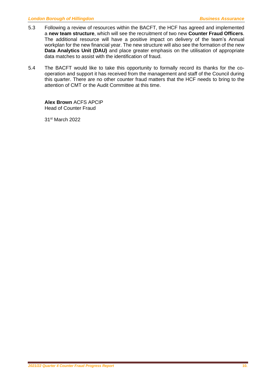- 5.3 Following a review of resources within the BACFT, the HCF has agreed and implemented a **new team structure**, which will see the recruitment of two new **Counter Fraud Officers**. The additional resource will have a positive impact on delivery of the team's Annual workplan for the new financial year. The new structure will also see the formation of the new **Data Analytics Unit (DAU)** and place greater emphasis on the utilisation of appropriate data matches to assist with the identification of fraud.
- 5.4 The BACFT would like to take this opportunity to formally record its thanks for the cooperation and support it has received from the management and staff of the Council during this quarter. There are no other counter fraud matters that the HCF needs to bring to the attention of CMT or the Audit Committee at this time.

**Alex Brown** ACFS APCIP Head of Counter Fraud

31 st March 2022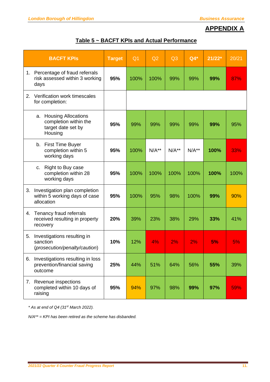## **APPENDIX A**

| Table 5 ~ BACFT KPIs and Actual Performance |  |
|---------------------------------------------|--|
|                                             |  |

|    | <b>BACFT KPIS</b>                                                                | <b>Target</b> | Q <sub>1</sub> | Q2      | Q3      | $Q4*$   | $21/22*$ | 20/21 |
|----|----------------------------------------------------------------------------------|---------------|----------------|---------|---------|---------|----------|-------|
| 1. | Percentage of fraud referrals<br>risk assessed within 3 working<br>days          | 95%           | 100%           | 100%    | 99%     | 99%     | 99%      | 87%   |
| 2. | Verification work timescales<br>for completion:                                  |               |                |         |         |         |          |       |
|    | a. Housing Allocations<br>completion within the<br>target date set by<br>Housing | 95%           | 99%            | 99%     | 99%     | 99%     | 99%      | 95%   |
|    | b. First Time Buyer<br>completion within 5<br>working days                       | 95%           | 100%           | $N/A**$ | $N/A**$ | $N/A**$ | 100%     | 33%   |
|    | Right to Buy case<br>C.<br>completion within 28<br>working days                  | 95%           | 100%           | 100%    | 100%    | 100%    | 100%     | 100%  |
| 3. | Investigation plan completion<br>within 5 working days of case<br>allocation     | 95%           | 100%           | 95%     | 98%     | 100%    | 99%      | 90%   |
| 4. | Tenancy fraud referrals<br>received resulting in property<br>recovery            | 20%           | 39%            | 23%     | 38%     | 29%     | 33%      | 41%   |
| 5. | Investigations resulting in<br>sanction<br>(prosecution/penalty/caution)         | 10%           | 12%            | 4%      | 2%      | 2%      | 5%       | 5%    |
| 6. | Investigations resulting in loss<br>prevention/financial saving<br>outcome       | 25%           | 44%            | 51%     | 64%     | 56%     | 55%      | 39%   |
| 7. | Revenue inspections<br>completed within 10 days of<br>raising                    | 95%           | 94%            | 97%     | 98%     | 99%     | 97%      | 59%   |

*\* As at end of Q4 (31 st March 2022).*

*N/A\*\* = KPI has been retired as the scheme has disbanded.*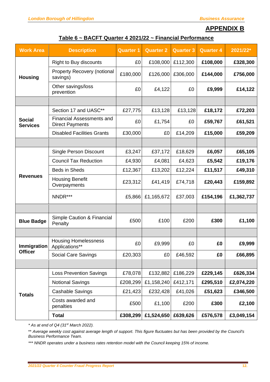### **APPENDIX B**

### **Table 6 ~ BACFT Quarter 4 2021/22 ~ Financial Performance**

| <b>Work Area</b>                 | <b>Description</b>                                         | <b>Quarter 1</b> | <b>Quarter 2</b> | <b>Quarter 3</b> | <b>Quarter 4</b> | 2021/22*   |
|----------------------------------|------------------------------------------------------------|------------------|------------------|------------------|------------------|------------|
|                                  | <b>Right to Buy discounts</b>                              | £0               | £108,000         | £112,300         | £108,000         | £328,300   |
| <b>Housing</b>                   | <b>Property Recovery (notional</b><br>savings)             | £180,000         | £126,000         | £306,000         | £144,000         | £756,000   |
|                                  | Other savings/loss<br>prevention                           | £0               | £4,122           | £0               | £9,999           | £14,122    |
|                                  |                                                            |                  |                  |                  |                  |            |
|                                  | Section 17 and UASC**                                      | £27,775          | £13,128          | £13,128          | £18,172          | £72,203    |
| <b>Social</b><br><b>Services</b> | <b>Financial Assessments and</b><br><b>Direct Payments</b> | £0               | £1,754           | £0               | £59,767          | £61,521    |
|                                  | <b>Disabled Facilities Grants</b>                          | £30,000          | £0               | £14,209          | £15,000          | £59,209    |
|                                  |                                                            |                  |                  |                  |                  |            |
|                                  | <b>Single Person Discount</b>                              | £3,247           | £37,172          | £18,629          | £6,057           | £65,105    |
|                                  | <b>Council Tax Reduction</b>                               | £4,930           | £4,081           | £4,623           | £5,542           | £19,176    |
|                                  | Beds in Sheds                                              | £12,367          | £13,202          | £12,224          | £11,517          | £49,310    |
| <b>Revenues</b>                  | <b>Housing Benefit</b><br>Overpayments                     | £23,312          | £41,419          | £74,718          | £20,443          | £159,892   |
|                                  | NNDR***                                                    | £5,866           | £1,165,672       | £37,003          | £154,196         | £1,362,737 |
|                                  |                                                            |                  |                  |                  |                  |            |
| <b>Blue Badge</b>                | Simple Caution & Financial<br>Penalty                      | £500             | £100             | £200             | £300             | £1,100     |
|                                  |                                                            |                  |                  |                  |                  |            |
| Immigration                      | <b>Housing Homelessness</b><br>Applications**              | £0               | £9,999           | £0               | £0               | £9,999     |
| <b>Officer</b>                   | Social Care Savings                                        | £20,303          | £0               | £46,592          | £0               | £66,895    |
|                                  |                                                            |                  |                  |                  |                  |            |
|                                  | <b>Loss Prevention Savings</b>                             | £78,078          | £132,882         | £186,229         | £229,145         | £626,334   |
|                                  | <b>Notional Savings</b>                                    | £208,299         | £1,158,240       | £412,171         | £295,510         | £2,074,220 |
| <b>Totals</b>                    | Cashable Savings                                           | £21,423          | £232,428         | £41,026          | £51,623          | £346,500   |
|                                  | Costs awarded and<br>penalties                             | £500             | £1,100           | £200             | £300             | £2,100     |
|                                  | <b>Total</b>                                               | £308,299         | £1,524,650       | £639,626         | £576,578         | £3,049,154 |

*\* As at end of Q4 (31 st March 2022).*

\*\* *Average weekly cost against average length of support. This figure fluctuates but has been provided by the Council's Business Performance Team.*

*\*\*\* NNDR operates under a business rates retention model with the Council keeping 15% of income.*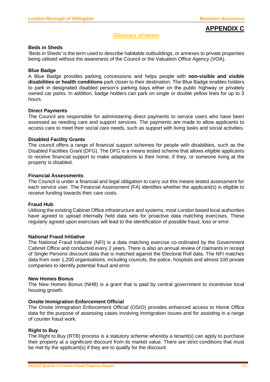### **APPENDIX C**

### **Glossary of terms**

### **Beds in Sheds**

'Beds in Sheds' is the term used to describe habitable outbuildings, or annexes to private properties being utilised without the awareness of the Council or the Valuation Office Agency (VOA).

### **Blue Badge**

A Blue Badge provides parking concessions and helps people with **non-visible and visible disabilities or health conditions** park closer to their destination. The Blue Badge enables holders to park in designated disabled person's parking bays either on the public highway or privately owned car parks. In addition, badge holders can park on single or double yellow lines for up to 3 hours.

### **Direct Payments**

The Council are responsible for administering direct payments to service users who have been assessed as needing care and support services. The payments are made to allow applicants to access care to meet their social care needs, such as support with living tasks and social activities.

### **Disabled Facility Grants**

The council offers a range of financial support schemes for people with disabilities, such as the Disabled Facilities Grant (DFG). The DFG is a means tested scheme that allows eligible applicants to receive financial support to make adaptations to their home, if they, or someone living at the property is disabled.

### **Financial Assessments**

The Council is under a financial and legal obligation to carry out this means tested assessment for each service user. The Financial Assessment (FA) identifies whether the applicant(s) is eligible to receive funding towards their care costs.

### **Fraud Hub**

Utilising the existing Cabinet Office infrastructure and systems, most London based local authorities have agreed to upload internally held data sets for proactive data matching exercises. These regularly agreed upon exercises will lead to the identification of possible fraud, loss or error.

#### **National Fraud Initiative**

The National Fraud Initiative (NFI) is a data matching exercise co-ordinated by the Government Cabinet Office and conducted every 2 years. There is also an annual review of claimants in receipt of Single Persons discount data that is matched against the Electoral Roll data. The NFI matches data from over 1,200 organisations, including councils, the police, hospitals and almost 100 private companies to identify potential fraud and error.

#### **New Homes Bonus**

The New Homes Bonus (NHB) is a grant that is paid by central government to incentivise local housing growth.

### **Onsite Immigration Enforcement Official**

The Onsite Immigration Enforcement Official (OSIO) provides enhanced access to Home Office data for the purpose of assessing cases involving immigration issues and for assisting in a range of counter fraud work.

### **Right to Buy**

The Right to Buy (RTB) process is a statutory scheme whereby a tenant(s) can apply to purchase their property at a significant discount from its market value. There are strict conditions that must be met by the applicant(s) if they are to qualify for the discount.